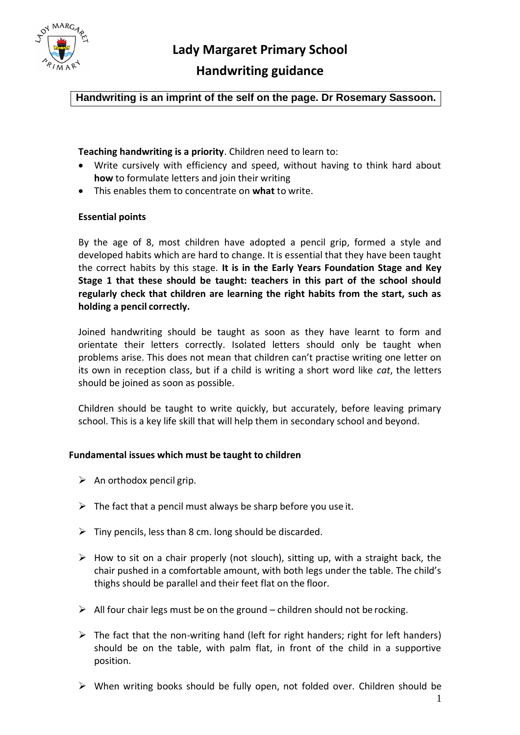

# **Handwriting guidance**

**Handwriting is an imprint of the self on the page. Dr Rosemary Sassoon.**

**Teaching handwriting is a priority**. Children need to learn to:

- Write cursively with efficiency and speed, without having to think hard about **how** to formulate letters and join their writing
- This enables them to concentrate on **what** to write.

### **Essential points**

By the age of 8, most children have adopted a pencil grip, formed a style and developed habits which are hard to change. It is essential that they have been taught the correct habits by this stage. **It is in the Early Years Foundation Stage and Key Stage 1 that these should be taught: teachers in this part of the school should regularly check that children are learning the right habits from the start, such as holding a pencil correctly.**

Joined handwriting should be taught as soon as they have learnt to form and orientate their letters correctly. Isolated letters should only be taught when problems arise. This does not mean that children can't practise writing one letter on its own in reception class, but if a child is writing a short word like *cat*, the letters should be joined as soon as possible.

Children should be taught to write quickly, but accurately, before leaving primary school. This is a key life skill that will help them in secondary school and beyond.

### **Fundamental issues which must be taught to children**

- $\triangleright$  An orthodox pencil grip.
- $\triangleright$  The fact that a pencil must always be sharp before you use it.
- $\triangleright$  Tiny pencils, less than 8 cm. long should be discarded.
- $\triangleright$  How to sit on a chair properly (not slouch), sitting up, with a straight back, the chair pushed in a comfortable amount, with both legs under the table. The child's thighs should be parallel and their feet flat on the floor.
- $\triangleright$  All four chair legs must be on the ground children should not be rocking.
- $\triangleright$  The fact that the non-writing hand (left for right handers; right for left handers) should be on the table, with palm flat, in front of the child in a supportive position.
- When writing books should be fully open, not folded over. Children should be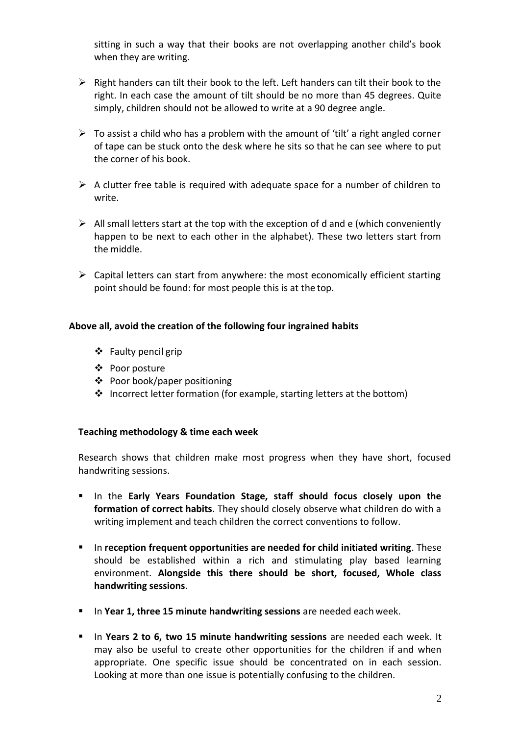sitting in such a way that their books are not overlapping another child's book when they are writing.

- $\triangleright$  Right handers can tilt their book to the left. Left handers can tilt their book to the right. In each case the amount of tilt should be no more than 45 degrees. Quite simply, children should not be allowed to write at a 90 degree angle.
- $\triangleright$  To assist a child who has a problem with the amount of 'tilt' a right angled corner of tape can be stuck onto the desk where he sits so that he can see where to put the corner of his book.
- $\triangleright$  A clutter free table is required with adequate space for a number of children to write.
- $\triangleright$  All small letters start at the top with the exception of d and e (which conveniently happen to be next to each other in the alphabet). These two letters start from the middle.
- $\triangleright$  Capital letters can start from anywhere: the most economically efficient starting point should be found: for most people this is at the top.

## **Above all, avoid the creation of the following four ingrained habits**

- Faulty pencil grip
- Poor posture
- Poor book/paper positioning
- ❖ Incorrect letter formation (for example, starting letters at the bottom)

## **Teaching methodology & time each week**

Research shows that children make most progress when they have short, focused handwriting sessions.

- **In the Early Years Foundation Stage, staff should focus closely upon the formation of correct habits**. They should closely observe what children do with a writing implement and teach children the correct conventions to follow.
- In **reception frequent opportunities are needed for child initiated writing**. These should be established within a rich and stimulating play based learning environment. **Alongside this there should be short, focused, Whole class handwriting sessions**.
- In **Year 1, three 15 minute handwriting sessions** are needed eachweek.
- In **Years 2 to 6, two 15 minute handwriting sessions** are needed each week. It may also be useful to create other opportunities for the children if and when appropriate. One specific issue should be concentrated on in each session. Looking at more than one issue is potentially confusing to the children.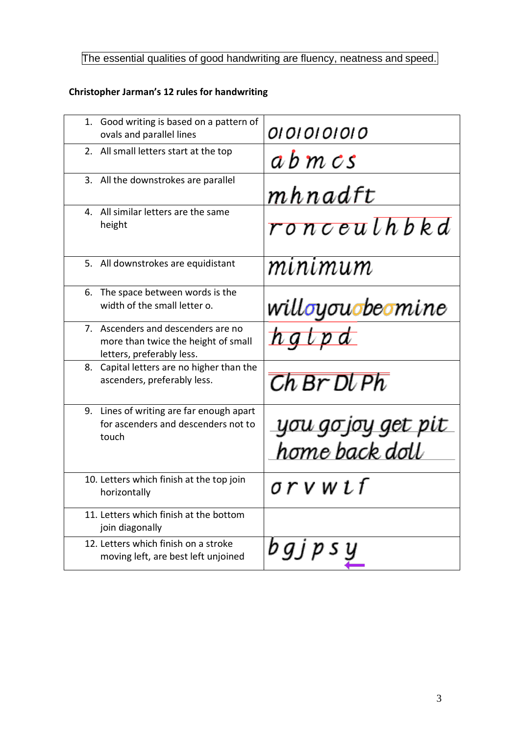# The essential qualities of good handwriting are fluency, neatness and speed.

# **Christopher Jarman's 12 rules for handwriting**

| 1. Good writing is based on a pattern of<br>ovals and parallel lines                                   | 01010101010                          |  |
|--------------------------------------------------------------------------------------------------------|--------------------------------------|--|
| 2. All small letters start at the top                                                                  | abmcs                                |  |
| 3. All the downstrokes are parallel                                                                    | mhnadft                              |  |
| 4. All similar letters are the same<br>height                                                          | ronceulhbbed                         |  |
| 5. All downstrokes are equidistant                                                                     | minimum                              |  |
| 6. The space between words is the<br>width of the small letter o.                                      | willoyouobeomine                     |  |
| 7. Ascenders and descenders are no<br>more than twice the height of small<br>letters, preferably less. | hglpd                                |  |
| 8. Capital letters are no higher than the<br>ascenders, preferably less.                               | Ch Br Dl Ph                          |  |
| 9. Lines of writing are far enough apart<br>for ascenders and descenders not to<br>touch               | you go joy get pit<br>home back doll |  |
| 10. Letters which finish at the top join<br>horizontally                                               | orvwtf                               |  |
| 11. Letters which finish at the bottom<br>join diagonally                                              |                                      |  |
| 12. Letters which finish on a stroke<br>moving left, are best left unjoined                            | $bg$ $p$ $s$                         |  |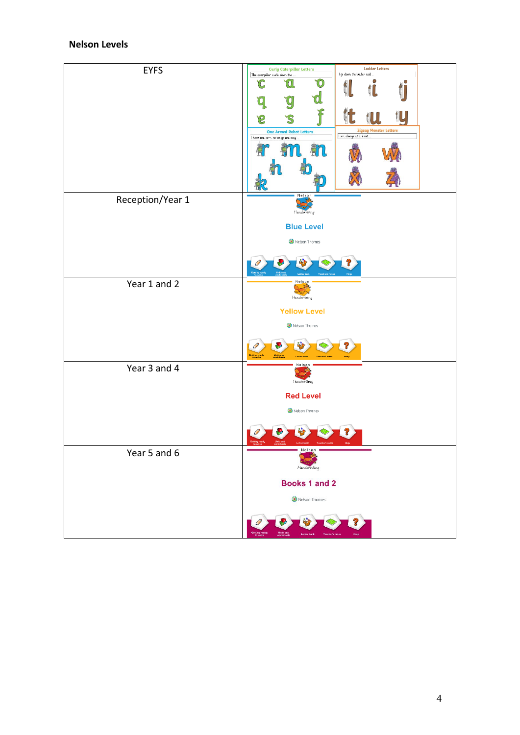# **Nelson Levels**

| <b>EYFS</b>      | <b>Curly Caterpillar Letters</b><br>The caterpillar carls down the<br>ĨO<br>Ω<br>IC.<br>'n<br><b>One Armed Robot Letters</b><br>I have one arm, so we go one way. | <b>Ladder Letters</b><br>I go down the ladder and<br>Ο<br>O<br>t<br>t<br>tU<br>Zigzag Monster Letters<br>I am always at a slant. |
|------------------|-------------------------------------------------------------------------------------------------------------------------------------------------------------------|----------------------------------------------------------------------------------------------------------------------------------|
| Reception/Year 1 | Nelson<br>Handwriting<br><b>Blue Level</b><br>Nelson Thornes                                                                                                      |                                                                                                                                  |
| Year 1 and 2     | Nelson<br>-38<br>Handwriting<br><b>Yellow Level</b><br>Nelson Thomes                                                                                              | Help                                                                                                                             |
| Year 3 and 4     | Nelson<br>-39<br>Handwriting<br><b>Red Level</b><br>Nelson Thornes                                                                                                |                                                                                                                                  |
| Year 5 and 6     | Nelson<br>Handwriting<br>Books 1 and 2<br>Nelson Thomes                                                                                                           |                                                                                                                                  |